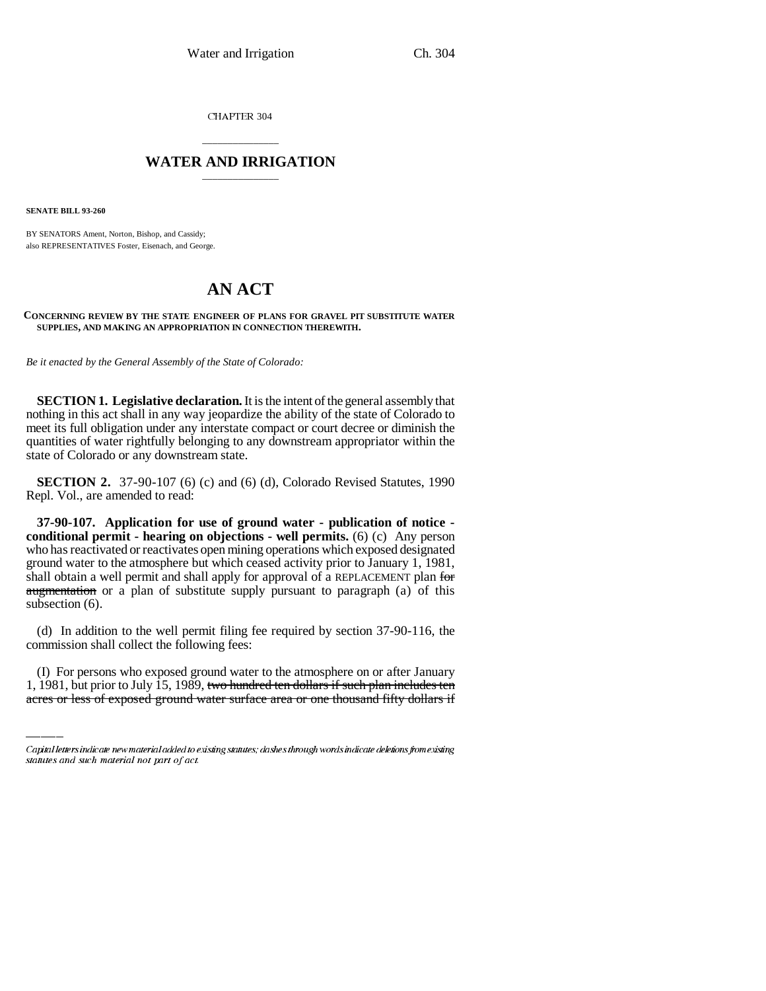CHAPTER 304

## \_\_\_\_\_\_\_\_\_\_\_\_\_\_\_ **WATER AND IRRIGATION** \_\_\_\_\_\_\_\_\_\_\_\_\_\_\_

**SENATE BILL 93-260**

BY SENATORS Ament, Norton, Bishop, and Cassidy; also REPRESENTATIVES Foster, Eisenach, and George.

# **AN ACT**

#### **CONCERNING REVIEW BY THE STATE ENGINEER OF PLANS FOR GRAVEL PIT SUBSTITUTE WATER SUPPLIES, AND MAKING AN APPROPRIATION IN CONNECTION THEREWITH.**

*Be it enacted by the General Assembly of the State of Colorado:* 

**SECTION 1. Legislative declaration.** It is the intent of the general assembly that nothing in this act shall in any way jeopardize the ability of the state of Colorado to meet its full obligation under any interstate compact or court decree or diminish the quantities of water rightfully belonging to any downstream appropriator within the state of Colorado or any downstream state.

**SECTION 2.** 37-90-107 (6) (c) and (6) (d), Colorado Revised Statutes, 1990 Repl. Vol., are amended to read:

**37-90-107. Application for use of ground water - publication of notice conditional permit - hearing on objections - well permits.** (6) (c) Any person who has reactivated or reactivates open mining operations which exposed designated ground water to the atmosphere but which ceased activity prior to January 1, 1981, shall obtain a well permit and shall apply for approval of a REPLACEMENT plan for augmentation or a plan of substitute supply pursuant to paragraph (a) of this subsection  $(6)$ .

commission shall collect the following fees: (d) In addition to the well permit filing fee required by section 37-90-116, the

(I) For persons who exposed ground water to the atmosphere on or after January 1, 1981, but prior to July 15, 1989, two hundred ten dollars if such plan includes ten acres or less of exposed ground water surface area or one thousand fifty dollars if

Capital letters indicate new material added to existing statutes; dashes through words indicate deletions from existing statutes and such material not part of act.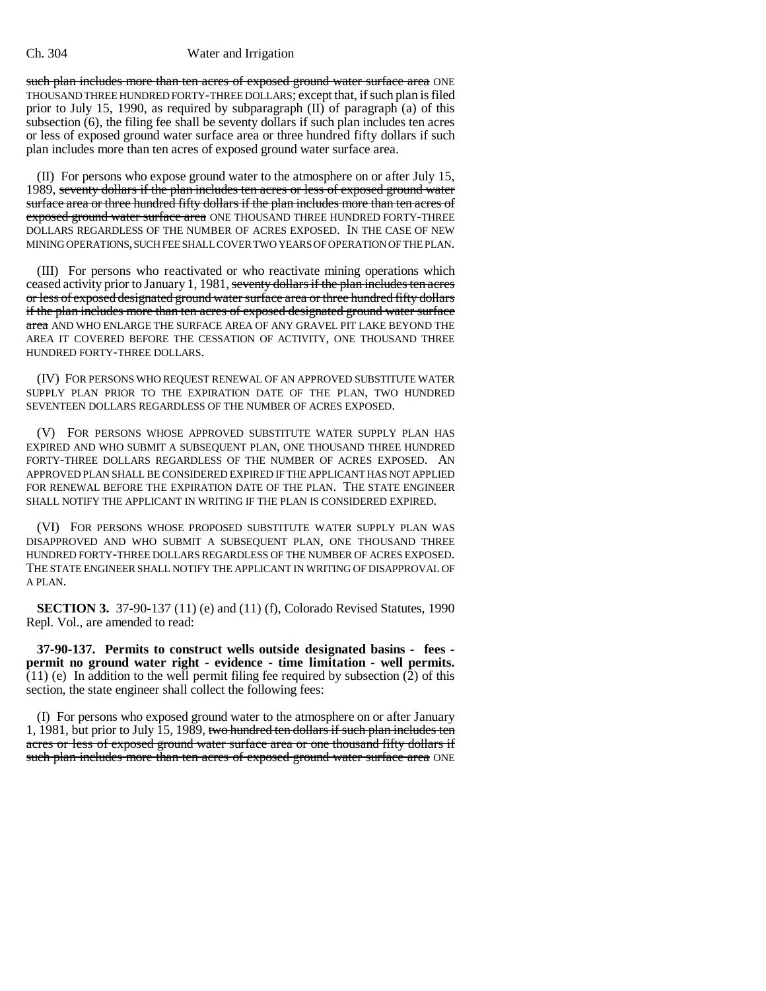#### Ch. 304 Water and Irrigation

such plan includes more than ten acres of exposed ground water surface area ONE THOUSAND THREE HUNDRED FORTY-THREE DOLLARS; except that, if such plan is filed prior to July 15, 1990, as required by subparagraph (II) of paragraph (a) of this subsection (6), the filing fee shall be seventy dollars if such plan includes ten acres or less of exposed ground water surface area or three hundred fifty dollars if such plan includes more than ten acres of exposed ground water surface area.

(II) For persons who expose ground water to the atmosphere on or after July 15, 1989, seventy dollars if the plan includes ten acres or less of exposed ground water surface area or three hundred fifty dollars if the plan includes more than ten acres of exposed ground water surface area ONE THOUSAND THREE HUNDRED FORTY-THREE DOLLARS REGARDLESS OF THE NUMBER OF ACRES EXPOSED. IN THE CASE OF NEW MINING OPERATIONS, SUCH FEE SHALL COVER TWO YEARS OF OPERATION OF THE PLAN.

(III) For persons who reactivated or who reactivate mining operations which ceased activity prior to January 1, 1981, seventy dollars if the plan includes ten acres or less of exposed designated ground water surface area or three hundred fifty dollars if the plan includes more than ten acres of exposed designated ground water surface area AND WHO ENLARGE THE SURFACE AREA OF ANY GRAVEL PIT LAKE BEYOND THE AREA IT COVERED BEFORE THE CESSATION OF ACTIVITY, ONE THOUSAND THREE HUNDRED FORTY-THREE DOLLARS.

(IV) FOR PERSONS WHO REQUEST RENEWAL OF AN APPROVED SUBSTITUTE WATER SUPPLY PLAN PRIOR TO THE EXPIRATION DATE OF THE PLAN, TWO HUNDRED SEVENTEEN DOLLARS REGARDLESS OF THE NUMBER OF ACRES EXPOSED.

(V) FOR PERSONS WHOSE APPROVED SUBSTITUTE WATER SUPPLY PLAN HAS EXPIRED AND WHO SUBMIT A SUBSEQUENT PLAN, ONE THOUSAND THREE HUNDRED FORTY-THREE DOLLARS REGARDLESS OF THE NUMBER OF ACRES EXPOSED. AN APPROVED PLAN SHALL BE CONSIDERED EXPIRED IF THE APPLICANT HAS NOT APPLIED FOR RENEWAL BEFORE THE EXPIRATION DATE OF THE PLAN. THE STATE ENGINEER SHALL NOTIFY THE APPLICANT IN WRITING IF THE PLAN IS CONSIDERED EXPIRED.

(VI) FOR PERSONS WHOSE PROPOSED SUBSTITUTE WATER SUPPLY PLAN WAS DISAPPROVED AND WHO SUBMIT A SUBSEQUENT PLAN, ONE THOUSAND THREE HUNDRED FORTY-THREE DOLLARS REGARDLESS OF THE NUMBER OF ACRES EXPOSED. THE STATE ENGINEER SHALL NOTIFY THE APPLICANT IN WRITING OF DISAPPROVAL OF A PLAN.

**SECTION 3.** 37-90-137 (11) (e) and (11) (f), Colorado Revised Statutes, 1990 Repl. Vol., are amended to read:

**37-90-137. Permits to construct wells outside designated basins - fees permit no ground water right - evidence - time limitation - well permits.**  $(11)$  (e) In addition to the well permit filing fee required by subsection  $(2)$  of this section, the state engineer shall collect the following fees:

(I) For persons who exposed ground water to the atmosphere on or after January 1, 1981, but prior to July 15, 1989, two hundred ten dollars if such plan includes ten acres or less of exposed ground water surface area or one thousand fifty dollars if such plan includes more than ten acres of exposed ground water surface area ONE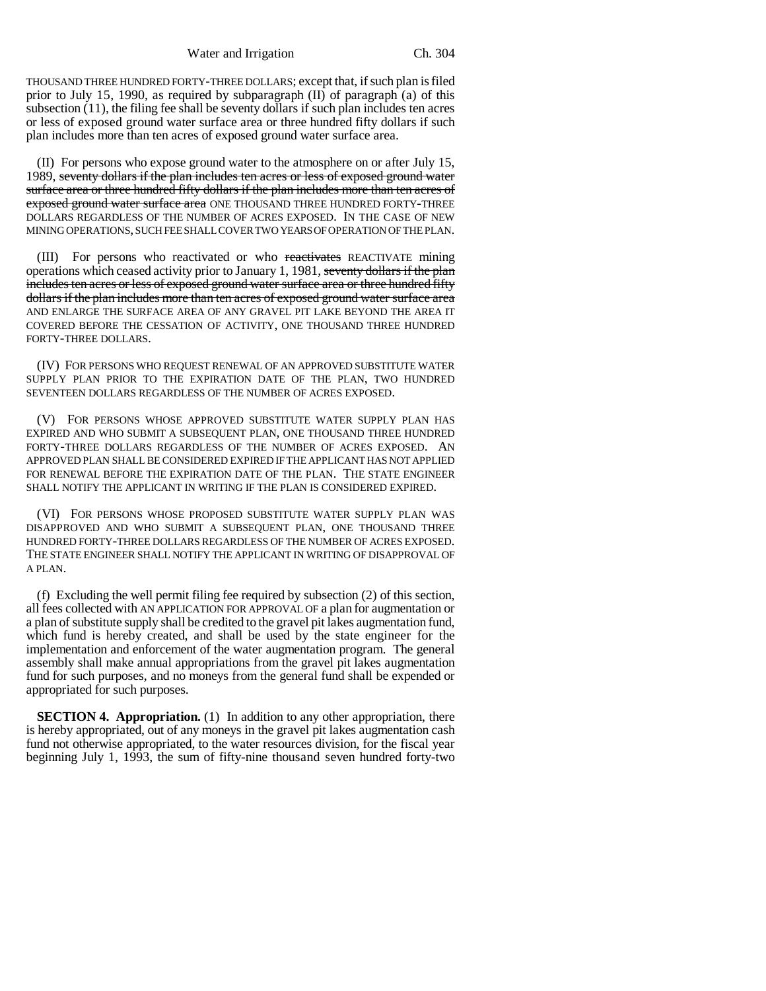Water and Irrigation Ch. 304

THOUSAND THREE HUNDRED FORTY-THREE DOLLARS; except that, if such plan is filed prior to July 15, 1990, as required by subparagraph (II) of paragraph (a) of this subsection (11), the filing fee shall be seventy dollars if such plan includes ten acres or less of exposed ground water surface area or three hundred fifty dollars if such plan includes more than ten acres of exposed ground water surface area.

(II) For persons who expose ground water to the atmosphere on or after July 15, 1989, seventy dollars if the plan includes ten acres or less of exposed ground water surface area or three hundred fifty dollars if the plan includes more than ten acres of exposed ground water surface area ONE THOUSAND THREE HUNDRED FORTY-THREE DOLLARS REGARDLESS OF THE NUMBER OF ACRES EXPOSED. IN THE CASE OF NEW MINING OPERATIONS, SUCH FEE SHALL COVER TWO YEARS OF OPERATION OF THE PLAN.

(III) For persons who reactivated or who reactivates REACTIVATE mining operations which ceased activity prior to January 1, 1981, seventy dollars if the plan includes ten acres or less of exposed ground water surface area or three hundred fifty dollars if the plan includes more than ten acres of exposed ground water surface area AND ENLARGE THE SURFACE AREA OF ANY GRAVEL PIT LAKE BEYOND THE AREA IT COVERED BEFORE THE CESSATION OF ACTIVITY, ONE THOUSAND THREE HUNDRED FORTY-THREE DOLLARS.

(IV) FOR PERSONS WHO REQUEST RENEWAL OF AN APPROVED SUBSTITUTE WATER SUPPLY PLAN PRIOR TO THE EXPIRATION DATE OF THE PLAN, TWO HUNDRED SEVENTEEN DOLLARS REGARDLESS OF THE NUMBER OF ACRES EXPOSED.

(V) FOR PERSONS WHOSE APPROVED SUBSTITUTE WATER SUPPLY PLAN HAS EXPIRED AND WHO SUBMIT A SUBSEQUENT PLAN, ONE THOUSAND THREE HUNDRED FORTY-THREE DOLLARS REGARDLESS OF THE NUMBER OF ACRES EXPOSED. AN APPROVED PLAN SHALL BE CONSIDERED EXPIRED IF THE APPLICANT HAS NOT APPLIED FOR RENEWAL BEFORE THE EXPIRATION DATE OF THE PLAN. THE STATE ENGINEER SHALL NOTIFY THE APPLICANT IN WRITING IF THE PLAN IS CONSIDERED EXPIRED.

(VI) FOR PERSONS WHOSE PROPOSED SUBSTITUTE WATER SUPPLY PLAN WAS DISAPPROVED AND WHO SUBMIT A SUBSEQUENT PLAN, ONE THOUSAND THREE HUNDRED FORTY-THREE DOLLARS REGARDLESS OF THE NUMBER OF ACRES EXPOSED. THE STATE ENGINEER SHALL NOTIFY THE APPLICANT IN WRITING OF DISAPPROVAL OF A PLAN.

(f) Excluding the well permit filing fee required by subsection (2) of this section, all fees collected with AN APPLICATION FOR APPROVAL OF a plan for augmentation or a plan of substitute supply shall be credited to the gravel pit lakes augmentation fund, which fund is hereby created, and shall be used by the state engineer for the implementation and enforcement of the water augmentation program. The general assembly shall make annual appropriations from the gravel pit lakes augmentation fund for such purposes, and no moneys from the general fund shall be expended or appropriated for such purposes.

**SECTION 4. Appropriation.** (1) In addition to any other appropriation, there is hereby appropriated, out of any moneys in the gravel pit lakes augmentation cash fund not otherwise appropriated, to the water resources division, for the fiscal year beginning July 1, 1993, the sum of fifty-nine thousand seven hundred forty-two